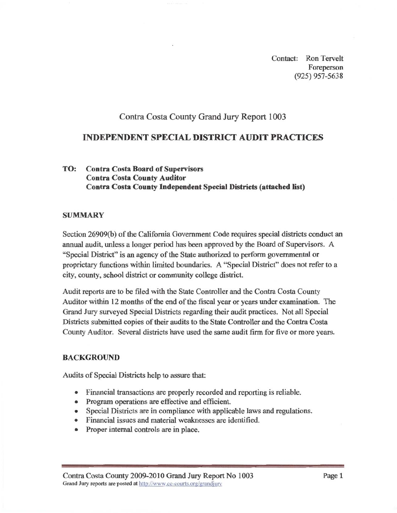Contact: Ron Tervelt Foreperson  $(925)$  957-5638

# Contra Costa County Grand Jury Report 1003 **Contra Costa County Grand Jury Report 1003**

## **INDEPENDENT SPECIAL DISTRICT AUDIT PRACTICES**

#### TO: **Contra Costa Board of Supervisors Contra Costa County Auditor Contra Costa County Independent Special Districts (attached list)**

#### **SUMMARY**

Section 26909(b) of the California Government Code requires special districts conduct an annual audit, unless a longer period has been approved by the Board of Supervisors. A "Special District" is an agency of the State authorized to perform governmental or proprietary functions within limited boundaries. A "Special District" does not refer to a city, county, school district or community college district.

Auditor within 12 months of the end of the fiscal year or years under examination. The Grand Jury surveyed Special Districts regarding their audit practices. Not all Special Districts submitted copies of their audits to the State Controller and the Contra Costa County Auditor. Several districts have used the same audit firm for five or more years.

#### **BACKGROUND**

Audits of Special Districts help to assure that:

- 
- Program operations are effective and efficient.
- Special Districts are in compliance with applicable laws and regulations.
- Financial issues and material weaknesses are identified.
- Proper internal controls are in place. Proper internal controls are in place.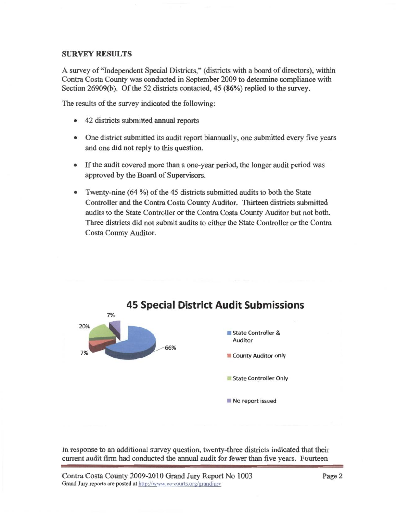### **SURVEY RESULTS**

Contra Costa County was conducted in September 2009 to determine compliance with Section 26909(b). Of the 52 districts contacted,  $45(86%)$  replied to the survey.

The results of the survey indicated the following:

- $T_{\rm eff}$  indicated the survey indicated the survey indicated the following: 42 districts submitted **annual** reports
	- One district submitted its audit report biannually, one submitted every five years and one did not reply to this question.
	- If the audit covered more than a one-year period, the longer audit period was approved by the Board of Supervisors.
	- Twenty-nine (64 %) of the 45 districts submitted audits to both the State  $\bullet$ audits to the State Controller or the Contra Costa County Auditor but not both. Three districts did not submit audits to either the State Controller or the Contra **Costa County Auditor.**



In response to an additional survey question, twenty-three districts indicated that their current audit firm had conducted the annual audit for fewer than five years. Fourteen

current audit firm had conducted the **annual** audit for fewer than five years. Fourteen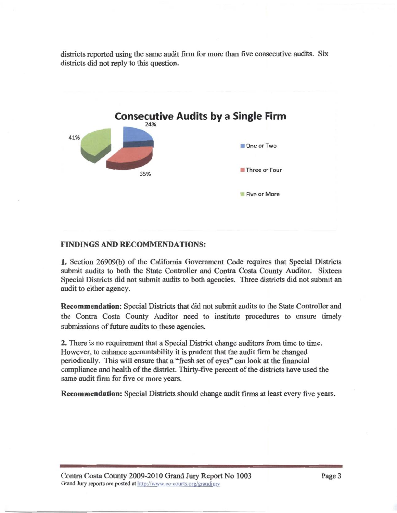districts reported using the same audit firm for more than five consecutive audits. Six districts did not reply to this question.



#### **FINDINGS AND RECOMMENDATIONS:**

1. Section **26909(b)** of the California Government Code requires that Special Districts Special Districts did not submit audits to both agencies. Three districts did not submit an audit to either agency.

Recommendation: Special Districts that did not submit audits to the State Controller and the Contra Costa County Auditor need to institute procedures to ensure timely submissions of future audits to these agencies.

However, to enhance accountability it is prudent that the audit firm be changed periodically. This will ensure that a "fresh set of eyes" can look at the financial compliance and health of the district. Thirty-five percent of the districts have used the same audit firm for five or more years.

Recommendation: Special Districts should change audit firms at least every five years.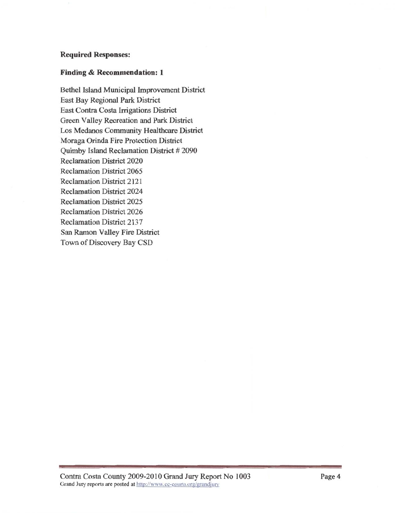#### **Required Responses:**

# **Finding** & **Recommendation: 1**

**Bethel Island Municipal Improvement District** East Bay Regional Park District East Contra Costa Irrigations District Green Valley Recreation and Park District Los Medanos Community Healthcare District Moraga Orinda Fire Protection District Quimby Island Reclamation District #2090 **Reclamation District 2020** Reclamation District 2065 Reclamation District 2121 Reclamation District 2024 **Reclamation District 2025** Reclamation District 2025 Reclamation District 2137 San Ramon Valley Fire District Town of Discovery Bay CSD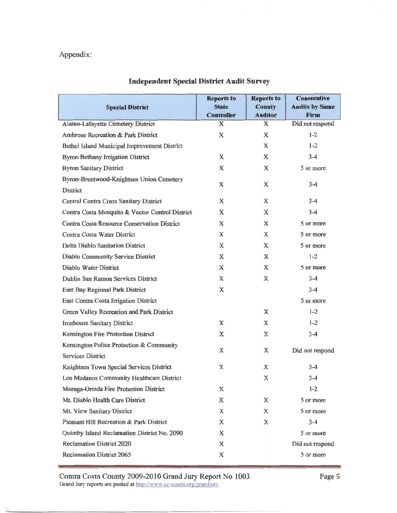# Appendix:

|                                                    | <b>Reports to</b>                 | <b>Reports to</b>               | <b>Consecutive</b>            |
|----------------------------------------------------|-----------------------------------|---------------------------------|-------------------------------|
| <b>Special District</b>                            | <b>State</b><br><b>Controller</b> | <b>County</b><br><b>Auditor</b> | <b>Audits by Same</b><br>Firm |
| Alamo-Lafayette Cemetery District                  | X                                 | $\mathbf X$                     | Did not respond               |
| Ambrose Recreation & Park District                 | X                                 | X                               | $1-2$                         |
| Bethel Island Municipal Improvement District       |                                   | X                               | $1 - 2$                       |
| <b>Byron Bethany Irrigation District</b>           | X                                 | X                               | $3 - 4$                       |
| <b>Byron Sanitary District</b>                     | X                                 | X                               | 5 or more                     |
| Byron-Brentwood-Knightsen Union Cemetery           |                                   |                                 |                               |
| <b>District</b>                                    | X                                 | X                               | $3 - 4$                       |
| Central Contra Costa Sanitary District             | X                                 | X                               | $3 - 4$                       |
| Contra Costa Mosquito & Vector Control District    | X                                 | X                               | $3 - 4$                       |
| <b>Contra Costa Resource Conservation District</b> | X                                 | X                               | 5 or more                     |
| Contra Costa Water District                        | X                                 | X                               | 5 or more                     |
| <b>Delta Diablo Sanitation District</b>            | X                                 | X                               | 5 or more                     |
| Diablo Community Service District                  | X                                 | X                               | $1 - 2$                       |
| Diablo Water District                              | X                                 | X                               | 5 or more                     |
| Dublin San Ramon Services District                 | X                                 | X                               | $3 - 4$                       |
| East Bay Regional Park District                    | X                                 |                                 | $3 - 4$                       |
| East Contra Costa Irrigation District              |                                   |                                 | 5 or more                     |
| Green Valley Recreation and Park District          |                                   | X                               | $1 - 2$                       |
| <b>Ironhouse Sanitary District</b>                 | X                                 | X                               | $1 - 2$                       |
| Kensington Fire Protection District                | X                                 | X                               | $3 - 4$                       |
| Kensington Police Protection & Community           |                                   |                                 |                               |
| <b>Services District</b>                           | X                                 | X                               | Did not respond               |
| Knightsen Town Special Services District           | X                                 | X                               | $3 - 4$                       |
| Los Medanos Community Healthcare District          |                                   | $\mathbf X$                     | $3 - 4$                       |
| Moraga-Orinda Fire Protection District             | X                                 |                                 | $1 - 2$                       |
| Mt. Diablo Health Care District                    | X                                 | X                               | 5 or more                     |
| Mt. View Sanitary District                         | X                                 | X                               | 5 or more                     |
| Pleasant Hill Recreation & Park District           | X                                 | X                               | $3 - 4$                       |
| Quimby Island Reclamation District No. 2090        | X                                 |                                 | 5 or more                     |
| <b>Reclamation District 2020</b>                   | X                                 |                                 | Did not respond               |
| <b>Reclamation District 2065</b>                   | X                                 |                                 | 5 or more                     |

Reclamation District 2065 **.5** or more

Contra Costa County 2009-2010 Grand Jury Report No 1003 Grand Jury reports are posted at http://www.cc-courts.org/grandjury